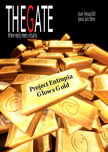# THEGATE Where reality meets virtuality

Project Entropia

**Glows** Gold

Issue4 February2003 Special Gold Edition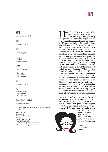## **THEGATE**

Issue 4, February 2002

Editor Stephanie Haines

Writers Frank Campbell Helen Praetorius

**Illustrations** Fredrik Andersson

**Portraits** Peter Alfredsson

Picture Research Helen Praetorius

Layout Stephanie Haines

Design Stephanie Haines

Helen Praetorius Frank Campbell

## Managing Director MindArk AB

Jan Welter Timkrans

All rights reserved. All trademarks and copyrights recognized.

MindArk AB Järntorget 8 413 04 Gothenburg Sweden Phone: +46 31-607260 Fax: +46 31-136016 Email: fanzine@project-entropia.com Internet: www.project-entropia.com

**Happy Belated New Year! 2003 - What**<br>a year it's going to be for all of us<br>we begin the Gold phase of a project that has a year it's going to be for all of us Linvolved with Project Entropia. Today been years in the making. *The Gate* pays tribute to PE's new beginnings this month with a special Golden Issue. Yes, we will focus on this new chapter in PE's history, but we will also include all our regular favorites as well. Our Message from MindArk this month will include its usual version update information, but also personal messages and comments from key MindArk personnel. We decided to focus on Project Entropia's economy in this issue. Frank Campbell gets the inside scoop on creating cash on Calypso. How do participants make a go of it? In his article, look for info on the newly opened PE Exchange that allows you to buy and sell shares within PE. One of our competitions this month asks you to tell us how you made the most of your first 10 PED. Look for that in our Features section at the back of the magazine. Also on the menu this month, check out several upcoming events on Calypso, read about a French-Canadian website that has served up PE à la français, see the latest festive fashion dressing Calypso and witness the creative writing talent of your fellow PE participants in our Features section.

Thank you to all of our readers for your support and participation. Keep it coming! It's great to see all the involvement – from contest entries to Bertha Bot questions to just plain suggestions and comments. We appreciate every word. We know many of you have been



around since we began to pave PE's road to gold and we look forward to having you here for the rest of the journey.

Cheers, Stephanie Haines Editor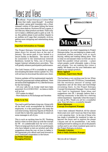## News and Views

It's official – Project Entropia is Golden! What<br>does that really mean though? In another<br>context, going gold translates into a final,<br>released version of the game hitting the home t's official – Project Entropia is Golden! What does that really mean though? In another context, going gold translates into a final, site or store shelves. However PE isn't a game, it isn't like any other product out there. That's why we've taken a different path to gold as well. To us, this golden phase is just another chapter in an endless sci-fi saga that constantly evolves, getting more intriguing and entertaining along the way.

#### **Important Information on Changes**

The Project Entropia Universe Servers were taken down for several days at the end of January. The server park is now hosted in a secure facility in Stockholm. The servers will be connected to the International Internet Backbone, hosted by Telia, one of Europe's largest Internet infrastructure providers. This will greatly enhance participation performance.

The Gold Version of PE is available by simply downloading the latest version update v4.2. You will not have to download the entire new client.

Version updates will be implemented regularly for bug fix purposes and content additions. Here are some of the highlights of v4.2. (See the forums for the full listing):

- All your calls for an Avatar reset have been answered. It is LOOKS ONLY - no items or skills will be lost.

- PVP makes its debut!
- More features in PE Exchange and Societies

#### **From Us to You**

The road to gold has been a long one. Along with all the hard work accomplished by MindArk employees, it is the participants who keep the universe turning. Some key figures at MindArk would like to take this opportunity to send out some messages to all of you:

This is such an exciting time for PE. Thinking back to when we first came up with the concept for PE - it's unbelievable how far we've come. That is in large part due to all of you participants who have helped us test our product and offer suggestions along the way on how to better it. We appreciate your efforts and look forward to your continued cooperation in the future.

**Jan Welter Timkrans Managing Director**



It's amazing to see what's happening in Project Entropia today. You are helping to create a selfsustained market economy with so much buying, selling and trading taking place. That is what we envisioned when we first set out to build this parallel virtual universe – a place where people could ultimately make a living and prosper. You are making this vision a reality. We thank you for your dedication and belief in our unique product.

**Benny Iggland Chairman, Supervisory Board**

This has been a very exciting year for me. When I first entered the old CTP3 forum, I immediately felt the enormous amount of energy and inspiration and all the ideas and knowledge circulating there. As the Project Entropia Concept Development Manager, I have worked very hard to implement these ideas and suggestions into PE. I strongly believe that a thriving community is the basic for a thriving online experience - especially when the scope is as vast as PE's. Thank you all for a wonderful year. Now let's have a wonderful decade! **Marco Behrmann**

## **Concept Development Manager**

I have been onboard MindArk AB for almost three years now and I must say that it has been a very amazing time - to be one of those who has made it possible for mankind to take us beyond the moon and to explore the planet Calypso and all its possibilities. I am really looking forward to seeing you all on the planet's surface and to see where mankind goes next in the Project Entropia evolution.

**Thommie Astorson Web & Public Relations Manager**

See you all on Calypso!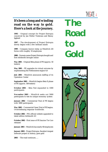## $IHH \hat{A}I^2$

## **It's been a long and winding road on the way to gold. Here's a look at the journey.**

**1995** – Original concept for Project Entropia conceived by Jan Welter Timkrans and Benny Iggland

**1997** – The development of Project Entropia slowly begins with a few brilliant minds

**1999** – Company known today as MindArk AB forms with roughly 10 employees

**2000** – Domain name Project Entropia bought and first Infobooth brought online

**May 2001** – Original Beta phase of PE (approx. 50 testers)

**May 2001** – PE upgrades its virtual universe by implementing the NetImmerse engine 4.0

**July 2001** – MindArk announces staffing of its Operation Center

**September 2001** – MindArk begins Beta II phase of PE (approx. 500 testers)

**October 2001** – Beta Test expanded to 1000 participants

**November 2001** – MindArk seeks out 5000 participants to test its unique economy system

**January 2002** – Commercial Trial of PE begins with 5000 participants

**May 2002** – Commercial Open Trial of PE begins. Overwhelming response worldwide.

**October 2002** – PE's official website upgraded to latest edition Infobooth 4.0

**October 2002** - First issue of PE fanzine *The Gate* released

**January 200**3 – MindArk has nearly 60 employees

**January 2003** – Project Entropia, Sweden's largest software project in history, goes gold

**2003** – The road continues…..

**The Road to Gold**

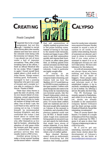## THEGATE 5

## **CREATING**

## Frank Campbell

**T** expected this to be a tough<br>assignment, but not this<br>tough. I decided to revisit<br>Atlas Haven after a few months expected this to be a tough assignment, but not this tough. I decided to revisit absence and hear how some of the colonists were faring with the economy on Calypso. First, I was almost run out of town under a hail of imposter accusations. Then, after a little tweaking here at the offices, I fixed an official MindArk title for my avatar. When I logged in again I found myself buck naked about a click south of Atlas Haven. Things weren't looking good. Fortunately, I managed to hail a passing Samaritan who gave me a pair of trousers and a sweater so I was able to continue to Atlas Haven. Thanks h743d9!

These days Atlas Haven is quite the stew of activity, with its own bizarre blend of crossdressing, armed opportunists milling about trying to trade all manner of things with each other. One of those I met, the Lord Fanel no less, said he was coming out on top. A hunter himself, he recommended hunting Allophyls, and also confirmed the rumor I had heard about so called bait runners - courageous colonists who offer themselves as live bait for hunters - attracting the attention of wild game while the hunters pick their quarry off undisturbed. For this perilous service they then usually receive a PED or two.

Another group trying to make a living around hunting are the ammo-sellers - colonists



that sell ammunition at slightly marked up prices close to the prime hunting zones. Instead of having to run back to the nearest trade terminals, hunters are happy to pay a PED more to get their ammunition quickly and resume their hunt. A knock on effect takes place then, as clothing gained from animal carcasses can fetch high prices from Calypsos female colonists. Coats in particular are highly sought after.

Of course in an environment like this, the weapons trade is booming, and Gemini told me how the Starkhov AS-117 could fetch up to 225 PED in mint condition on the open market. Crafters with good blueprints also seem to be doing nicely by manufacturing non-terminal goods, like the FreanD Alpha pistol, which can be manufactured for a small fraction of the 40 PED retail price. Of course these crafters need raw materials and one of the most sought after materials on Calypso at the moment is Lysterium, and a bundle of this precious material could cost you 40 PED. A female trader called Angel even mentioned hiring people at one point to go out and search for individuals that might have stores of certain materials. If you think you've got something of value, try visiting Twin Peaks as well, where a lot of crafters gather.

Bare chested Burnsey wasn't quite so enthusiastic about everything but did mention that hosting guided

# **ON CALYPSO**

tours for noobs (new colonists) was a source of income. He also wanted to sound a note of caution to all noobs to be careful when entering. Rumors of scammers are abound, and I want to stress to everybody that if you come across a scammer to report it to us at: *abuse@project-entropia.com* and we'll take action. We have zero tolerance for this behavior.

As with all economies there are always those who have nothing, and Atlas Haven attracts its fair share of beggars. These people seem willing to do anything for a PED and infuriate most of the established traders. A tip to anybody considering begging is not to bother. Try offering a service. Be useful, but don't beg.

The PE Exchange has recently opened in Hadesheim, and while it's in its early days yet, stocks are already available in the ammunition company Sphere Ordnance and the share savings society Friends of MindArk. Sound like interesting investments?

Then of course there's the bizarre. I've heard of a couple of females at Fort Fury dancing in their underwear for PED. I guess it all goes to show that Calypso is beginning to take on a life of its own.

So if you've got any interesting, innovative or just plain funny stories about the development of Calypso's economy, let me know at fanzine@project-entropia.com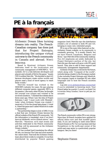$IHHdH_6$ 

## **PE à la français**



Alchemic Dream likes turning dreams into reality. The French-Canadian company has done just that for Project Entropia, introducing the unique virtual universe to the French community in Canada and abroad. *Merci beaucoup.*

Based in Montreal, Alchemic Dream dedicates itself to the localization and community management of MMORPG's. "In a nutshell, AD is a link between developers and players and a breath of life for the game," boasts CEO Aurélien Merville. "We decided to start AD because developers create online worlds and players need a kind of travel agency to reach these worlds."

Merville himself has worked in the MMORPG industry for years. He says playing different computer games, especially RPG's, is his passion. Like many other PE fans, he thought the concept was unique and wanted to be involved somehow, "I checked the website about three years ago. When I saw the idea of Project Entropia I said 'I must work with Mindark'. Later, when Alchemic Dream was created, I received a CD for the closed beta phase 2. I tried it, I liked the game and I called MindArk to make a partnership."

The partnership began in July of 2002. It was a deal that saw Alchemic Dream become the official website of the French PE community. "All the information is translated, even if we don't have an Infobooth, we're a French mirror," says Merville. "Moreover, we'll start events and activities dedicated to the French community and they will be announced on the Alchemic Dream website."

AD has worked hard translating the official PE site, our fanzine The Gate and most recently, the entire client. That took the Alchemic Dream team about three weeks to complete. It was then distributed by popular French gaming

magazine Gen4. Merville says the distribution created a lot of interest in both PE and AD, bringing in many new, interested people.

PE is one of the main titles featured on the Alchemic Dream website, so its community is constantly growing. "It is mostly French, but we have French Canadians, Belgians and Swiss," says Merville of the community makeup. Two AD employees are solely dedicated to Project Entropia's portion of the site, but Merville says the team will grow with PE's gold launch. They plan to add to their support and community management departments.

Alchemic Dream has a wish list for the future, which along with "Conquest of the world", includes being a leader in the European market. It also includes Project Entropia and MindArk. The company hopes to translate PE into other languages and to host the French societies website.

Log onto www.alchemicdream.com/portail/ if you're interested in knowing more. Your French better be *superbe! (I usually use Babel Fish to translate. Being Canadian, I know un petit peu, but not more!)*



The French community within PE is very strong. More than 20 French societies have applied for official status now and that number grows daily. If you are looking to meet some fellow French friends in PE, *The Gate* has been told that Nymphtown in the north-east corner of the south-east map sector is a particularly popular hangout. See you there!

Stephanie Haines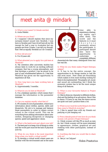

## meet anita @ mindark

Q: What is your name? (A female newbie) A: Anita Maletic

#### Q: Where are you from?

A: I suppose I should explain that since my surname doesn't sound very Swedish. I was born in Sweden and I have lived here all my life (except for half a year in Australia) but my parents are from Croatia. I can tell you though, that I feel as equally Swedish as I do Croatian.

#### Q: How old are you?

A: I'm 23 years old.

#### Q: What attracted you to apply for a job here at MindArk?

A: My intention after university studies has always been to work for an exciting software company that has a young atmosphere, and that develops a product I can be proud to be part of and wholehearted believe in. I feel that MindArk has given me the opportunity to experience all that.

#### Q: How long have you been working here at MindArk?

A: Approximately 3 months.

#### Q: What do you do here at MindArk?

A: I'm a database operator, which means that I manage the information in the parameter database.

#### Q: Can you explain exactly what that is?

A: PE consists of a lot of parameters, which have information about clothes, species, skills and blueprints. My job is to manage and balance these parameters in order to obtain correct values in the virtual world. This can be everything from adding information about new clothes, designing blueprints or changing species, speed and aggression values.

Q: What is the best/worst part about your job? A: The best part is to keep a lot of things in order and the worst part must be the lack of physical activity.

#### Q: What do you think is the most important thing when you build a virtual world?

A: To develop a virtual world where users are familiar with the environment and at the same



time able to experience a fantasy our reality can't offer them. The world and the features in it must therefore constantly attract the participants. A participant should also have the opportunity to undertake a completely different

character/role that many distinguish from his/ her real life.

#### Q: What do you think makes Project Entropia unique?

A: It has to be the entire concept, the opportunities to do things similar to real life and even more…New ideas are flourishing which makes it even more exciting waiting for them to be implemented. The graphic art, music and sound are outstanding, but I think the economic system has to be the most unique thing of all features.

#### Q: What is your favourite feature in Project Entropia?

A: I like to dress my character in different clothes, chat and the feeling of an adventure. Since I like to dance, I'll have to say that the dance moves are quite cool and I practice them a lot.

#### Q: What is your most favourite thing to do other than come to MindArk everyday?

A: I like to spend time with my friends out partying or just hanging out.

#### Q: From a female point of view how do you think women will perceive Project Entropia?

A: I think women will like PE as much as men do, but I think women will be more interested in appearance, clothes, graphical art and chatting with other participants, instead of combat.

Q: Anything else that you would like to share with us?

A: See ya´ on Calypso!

Helen Praetorius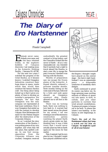

## **The Diary of Ero Hartstenner IV**

Frank Campbell

**Exerchak never came.**<br>Nobody ever came, and<br>as the days released<br>weeks, in the euphoric Nobody ever came, and Aas the days released bubbles of Calypsos discovery, I sat wasting away in the Antarctic Holding Facility - I became DL-4273R.

For the next two years I watched the progress of the Great Exodus, as it became known. I watched Omegaton Industries construct their huge dome in space, inside which they would then construct the famous Exodus craft. One thing about being locked up is that it gives you plenty of time to develop an outsider's perspective. For example, the fact that Omegaton was the only company not represented at that lunar conference. How it was Omegaton that ended up with the contract to develop Calypso. How life became a lot easier for the Federal Empire after the destruction of the Corporate Alliance.

So as I watched the slow construction of the Exodus, I was putting pieces of my own together, and when they fell into place, they spelled a setup. In one foul swoop, opposition from the Corporate Alliance was crushed, Omegaton received undoubtedly the greatest contract in living history, and the Chancellor looked like the savior of Earth – all at a very reasonable cost – me. I decided that if anybody had a right to travel aboard the Exodus, to start a new life, to escape the past, it was me. I decided I was leaving with the Exodus.

Months of preparation saw me escape the frozen plains of the Antarctic. A duped identity onboard a prisoner transfer shuttle, three months hiding on the west coast of Europe, followed by a hide and seek game aboard an Omegaton construct ship, finally allowed me to set foot in the Exodus.

There was no turning back, there was nothing to turn back to. A warrant had been issued across the planet for my arrest. I sat one evening in one of the enormous construction pylons watching the planet Earth slowly gyrate under my feet, thinking how it was a little ironic that I would never actually place my feet on Earth again,nor the moon for that matter

Fate, it seemed, had its own plan for me. I thought I might have played a different role in

the Empire. I thought I might have played on the central stage – the hero's right hand. Instead I was an expendable pawn – a disposable conductor of somebody else's

designs. Earth continued to grind its cosmic cog below me. Its huge spinning mass swirling millions of billions of atoms out into space, to drift, to collide, and join other particles in currents that wind around constellations. To places yet unseen, to homes yet to be built. To places like where I was heading - to the future, to new beginnings, to Calypso.

**That's the end of Ero Hartstenner's diary, but keep a watch out for him on Calypso - he might be a part of all of your futures!**



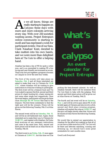$IHHJAIF$  0

S we all know, things are<br>really starting to happen on<br>more and more colonists arriving really starting to happen on **A**Calypso these days with every day. With over 250 societies wanting access, Project Entropia's online community is starting to swell and has expressed a wish for participant events. One of our fans, Clark 'Akadian' Kent, decided to take matters into his own hands, and we were more than delighted here at *The Gate* to offer a helping hand.

Akadian has been a fan of PE for quite a while now, and is as committed to making PE a fun loving and user-friendly environment as we are. That's why he's put together a program of events on Calypso to cover the next four weeks.

The first of the events will take place on **Saturday, Feb. 8** and all those interested are asked to make their way to Chimera for **13:30 UTC**, where Akadian will be waiting to give instructions to everyone wishing to participate. The first event will be a treasure hunt and *The Gate* is glad to sponsor the first, second and third prizes of a basic hunting kit, a basic mining kit and some other single tool respectively. Once the event begins, participants will be given three clues **(through the PE forum)** that lead to the treasure. The first three contestants to find the right spot will be the winners. Prizes will be given out the following Tuesday, Feb.11 at Atlas Haven.

The second event will be on **Saturday, Feb. 15**, and will be an old fashioned race. Again, those interested are to make their way to Chimera for **13:30 UTC,** and register with Akadian. He'll also brief everyone on any necessary instructions and rules at the same time. First, second and third prizes will be dealt out at Atlas Haven on Tuesday, Feb.18.

The third event is on **Friday, Feb. 21** once again at Chimera at **13:30 UTC**, but this time we'll be

**what's on calypso An event calendar for Project Entropia**

picking the best-dressed colonist. As well as Akadian himself, there will be someone from *The Gate* there to help with the judging. First second and third place prizes will be given out at Atlas Haven on Tuesday, Feb.25.

The fourth and last event will be on **Saturday, Mar. 1**, and will be a trivia quiz about PE. It will be held again at Chimera and also involve a first, second and third place winning program. Akadian will explain the rules at **13:30 UTC** and the quiz will begin shortly after that. Prizes will be issued at Atlas Haven the following Tuesday, March 4.

We would like to extend our appreciation to Akadian for the effort he's making so that all of us can have a little more fun in PE. *The Gate* will be there and between searching, running and dressing up, we should have some great screenshots for next months issue.

Good Luck Everyone!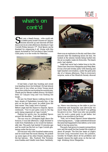## THEGATE 10

## **what's on cont'd**

Sand, sun, a beach house....who could ask for a better party locale? Dozens of Calypso<br>colonists showed up and showed off their<br>dance moves at a late afternoon shindig in Cape and, sun, a beach house….who could ask for a better party locale? Dozens of Calypso colonists showed up and showed off their Corinth Friday January 17<sup>th</sup>. Host Spoon can be thanked for organizing it all. Along with this report, he hinted to *The Gate* that a Cape Corinth Gold party is in the works for February….



It had been a hard day hunting and sweat was beading down his forehead. He had almost been torn in two when an Atrax Young snuck up on him while he was hunting his normal prey. Thank god for Skoshi crafted armour. He hadn't been on Calypso long and was finding life tough…

He saw his friend Spoon walking down the hazy streets of Hadesheim towards him. A big grin on his face like usual, he yelled from the next corner "Hey Leigh, how's it going?"

Before Leigh had the chance to respond, Spoon continued, "You've just gotta come to the big party being organized at Cape Corinth."

Feeling his spirits rise, he grabbed Spoon around the shoulder, "Lets talk party..."

The sun was at a 30-degree angle above the horizon; it was late afternoon. Leigh decided to walk from Hadesheim so he would be fashionably late. The party had started 15 minutes ago and he could see the fort on Cape Corinth glistening under the hot sun.

He was now only a few hundred meters away and he could hear the music blaring. He picked up some signs of his other friends standing on the bar balcony - Silo, Typhoid, War Torment, even Kashka and Getafix were there. Suddenly,



there was an explosion in the sky and then a few seconds later the deafening boom hit him. He looked at the seismic bombs being hurled into the air as mighty make-do fireworks. The beach party had started...

Leigh had never had a better time in his life. There were free Atrox Margaritas and Merp Beer. It was a hot and sweaty party with dancing and light hearted conversation, under the gold-pink sky of a Calypso afternoon. Then to everyone's surprise, some of the MindArk Society showed



up. Marco was dancing on the table in just his underwear and burgundy coat (obviously too much Merp beer). And SysChkOP was getting his groove on too. There was only one possible way for such a great party to get better, but Spoon was nowhere to be found.

"Nah, we've heard Spoon's home teleporter is having lag issues..." Leigh understood because the same had happened to him before, so he went back to having some fun.

The party had grown to massive proportions now and the small fort bar hosted the weight of about 45 people. The first few beats of Leigh's favorite song resonated from the jukebox. Quickly he forgets about all his problems and happily dances the night away on the bar railings drinking Atrox Margaritas.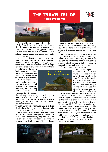## **THE TRAVEL GUIDE**



**Helen Praetorius**



tlas Haven is located in the middle of<br>Eudoria, which is in the northwest<br>section of the continent. It is well known<br>for being one of the first meeting places for many Eudoria, which is in the northwest section of the continent. It is well known for being one of the first meeting places for many early colonists who traveled to Calypso. Today it has become a natural center for public trade and commerce.

As I entered this vibrant place, it struck me how much action was taking place. If you enjoy socialising with other people I suggest you travel here. There always seems to be a large gathering of colonists. This haven has without

a doubt become heaven to both business minded and socially active people. It's a good place to come to when you want to get some tips and advice from fellow participants. I can assure you that if you want to sell those miniskirts you looted because you think they would look better on someone else, the chances

that will you find a buyer in Atlas Haven are pretty big. If you want to sell or buy something, this is the place to do so. Colonists are also offering all kinds of services like being runners, etc. If it seems too crowded

you can always take your customer on a short stroll outside the busy center and do your trade talk in a more peaceful environment.

Wherever business is done, there should also be places for pleasure. Here you can experience both. As I slowly made my way around Atlas Haven I discovered a jukebox. It took me by surprise when I entered one of the buildings.





I'm not telling you where it is, but it's not too difficult to find. I recommend dancing away your stress after a hard day of trading. There are several jukeboxes around Calypso for you to find…

As I continued walking, I came across this huge Mobile Service Centre and decided to go in and take a look around. Impressive! Here you can do everything from constructing a weapon to joining a society in the new society terminal. It's convenient to have all you need in one location right at your fingertips.

There is more…If you want to have your say on the future of Calypso, you can always drop your vote in the Atlas Haven voting booth. And if you are a person who likes living in the fast lane, what better way to get around than to use the teleporter situated here. Just select the area and off you go!

Atlas Haven is also an outpost surrounded by beautiful greenery. You will see the forest flourish as you approach this part of Calypso. For the animal lover or hunter, I must say that the outlying area offers quite a variety of distinctive wildlife. If hunted by one just step over the entrance to Atlas Haven and you'll be safe! Some creatures that you are likely to come across are Exarosaurs, Snablesnots, Gibnibs, Tantardions, Daikibas, just to mention a few. But there are plenty more, I promise you…

I do think it's definitely an area that has something for everybody. Now it's up to you to make the trek there!

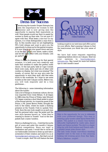

## *Dress for Success*

**Example 11 And Seen** the importance for women to feel<br>**Example 11 And ASHION** *F* Comportunity to express their masculinity as<br>well. Most people would say that it is easier for<br>women to dress up than men. I'm not sure if ntroducing the tuxedo! Project Entropia has seen the importance for women to feel **feminine and is now giving men the** opportunity to express their masculinity as well. Most people would say that it is easier for women to dress up than men. I'm not sure if I agree with that. What beats a nice tux? In my opinion, it is what distinguishes a man from a boy. In this months issue we are highlighting PE's Gold release and want to give you the opportunity to dress up for the special occasion. It is now time to let your guard down and join in on the fun. Polish your shoes, make a toast, and hit the dance floor with your friends. Lets go party!!!

When it comes to dressing up for that special occasion, it is both your own creativity and taste that combine to make the perfect outfit choice. At the last party held at Cape Corinth there were coats, skirts and lots of other wild combos on display, but what was missing? The tuxedo, of course. But we now give men the opportunity to strut their stuff, add that extra touch to the wardrobe. So I hope to see some tuxedos at the next Calypso soiree. Believe me, you will look exquisite and be a true gentleman…

The following is some interesting information about the tuxedo:

Like a lot of things in American culture, the tux was imported from Great Britain. It all began in 1886 when the Prince of Wales, later Edward VII, began wearing a short black jacket in place of the formal tailcoat. An American guest of the Prince, a Mr. James Brown Potter, brought the look to the states, where he made a dashing presence at the Tuxedo Club in upstate New York. Soon the new look caught on as each man had his personal tailor copy the jacket and the new style became known as "what they're wearing to dinner in Tuxedo" And so the new jackets had a name: tuxedos.

Here is a challenge for you... Grab that favourite girl of yours and enter this month's Calypso Fashion competition. Since our topic is celebration and party I would like to invite all our fashionable colonists to dress up and take a screenshot of their creation and send it to us at fanzine@project-entropia.com. But that's not all - I want a couple shot! We will feature the best



looking couple in our next issue and offer a prize for your efforts. Start scanning Calypso to find the man/woman you think has your sense of style.

We have had some requests regarding organising fashion shows on Calypso. Send me your opinions to fanzine@projectentropia.com. Stay tuned for more hot fashion tips in next month's issue!



Here is the opportunity for you to elaborate with your preferred design. This man is wearing a grey tuxedo called Spiral Street XXX jacket. The jacket is a classic four-button silhouette highlighted by matte satin, shawl lapels and besom pockets. The shirt is a classic wing tip with front buttons and French cuffs a pleated breast plate dinner shirt.

The lady looks simply marvellous standing together next to the man in this amazing looking red evening gown from Star Satin. What a fabulous couple!!

## THEGATE 12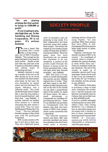## $IHHJAIF$

**"We are aiming at being the first society to bring in \$100,000 as profit."**

**If you're going to aim, aim high they say. To the Smithing and Mining Corporation, PE is no game. It's serious business.**

" "This was a 'game' that<br>sounded like I could<br>says one of SMC's founders sounded like I could make a living doing, ' Sabbath. "The concept for the game had been in my head for quite awhile… People would quit their day jobs and work in game as characters making and selling items or performing services."

Sabbath decided to start up a society of his own in PE after giving up on an invite into another one (that doesn't exist today, by the way). He was becoming an expert miner and his sole buyer for ingots, Melchior, was a talented smith. "He could smoke through a pile of ingots like a starving dog eating a bowl of canned dog food - and that's fast, " says Sabbath. "I quickly realized we needed more miners so I started recruiting the best miners I could find. Thus we were Smithing and Mining, the C for "Corp"." The two officially formed a society in May of last year with PE participant Aziphirael.

SMC is a key society in PE, but it isn't due to their size. They are a tight-knit group

## **SOCIETY PROFILE**

**Stephanie Haines**

with 14 members and are planning to stay small. It is their organization and keen business sense that makes them unique. The society has created its own banker avatar within PE that does all SMC's buying and selling. "Since the game does not have storefronts yet, we created this character to be our storefront. A portion of the profits made through the banker is being saved for future purchases like a shop and land when they become available," says Sabbath.

SMC also runs a Co-op, which is a profit-sharing plan that anyone can join. Sabbath explains how it works, "They sell their ingots to the SMCbanker at trade terminal price and at the end of the month we pay them a proportional share of the profits we made off those ingots. We take a small percentage to compensate our members for providing the service." These Co-op members can put items on consignment with the banker, plus they also have access to SMC's loan system, which works somewhat like a pawnshop.

The intricate economy doesn't end there. SMC also provides members and some non-members who don't have credit cards, a currency exchange service. Along with using PayPal, "we also purchase PEDs from players that have PEDs to sell. Purchasing PEDs from players helps keep money in game, "says Sabbath.

Sabbath contributes the smooth running of SMC to its council. " 'In a multitude of council, there is wisdom' guidance by a group of people is often better than one." Those six members make the key decisions. The rest of the society is made up of members, recruits and Co-op associates. Those who do well in the Co-op are screened to see if they are 'up' to being a full member, but the process is very selective.

SMC is serious. With plans to purchase a shop or land soon, transform the society into a real-life business and become a household name on Calypso, they are on their way to that \$100,000 profit.

If you're a newbie interested in learning how to mine, SMC offers a deal. They charge \$10.00 for 1 on 1 training of how to mine both energy and ore along with a tutorial on how to mine. Interested in knowing more? Log onto their website at www.smccentral.com which will be relaunched in conjunction with PE's gold release.

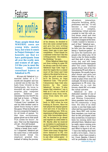

Helen Praetorius

**Many people think that MMORPG users are young kids, mainly boys, but when it comes to Project Entropia I can honestly say that we have participants from all over the world, men and women of all ages. I'd like you to meet the former high-level consultant known as Sabatical in PE.**

40-year-old Sabatical is a married father of a 17 month-old daughter and has a second one on the way. He hails from Utrecht in the Netherlands. He loves to downhill ski and surprise, surprise…play computer games. Sabatical can remember his very first PC his dad had at home - a Philips P2000. On this he had 'Collosal Cave' installed. He and his little brother used to spend hours trying to solve this game. When he finally got his own computer he began to try all kinds of games. "At that time revolutionary games glued me to that small VGA screen for hours", he says. That was the beginning of it all…He's still hooked.

The name Sabatical means "taking a break from work". As I suspected, Sabatical got his name from a well-earned three-month break his employer granted him. Instead of taking the journey



of his dreams, he decided to dive into some unread books and give his own writing skills a go. One book he started many years ago is now near completion. "I don't think I'm a talented writer but I like the writing process - the creation, the thinking," he says.

When Sabatical takes time out from writing to enter PE he always uses his full name, Sabatical Ingo Gate. Ingo is short for ingots (he is a miner most of the time) and Gate refers to the street he lives on. After the gold avatar reset he'll be known as Ingo Sabatical Gate. "The proud Calypsonian Ingo Gate also known by the name Sabatical," he says. "It also means that wherever I am it feels as if I am on a kind of sabbatical away from work, away from daily life and stress."

Sabatical came across PE back in 2001 when he was looking at Tucows. Since he had played his regular games over and over, it was time to find something new. With no experience of beta testing and very little knowledge about IRC he decided to go ahead and register as a beta tester in PE. Shortly after he received an invitation to participate in the PE Commercial Trial along with a CD. The rest is history! There were many things that drew Sabatical to PE; one being that it seemed different to any other online game – it involved exploring,

adventure, interaction, character building, skills, proficiency and fun. "It will become a real virtual universe…a complex, entertaining, virtual universe coupled to real life with online shops, email and chat facilities and with things we can't even imagine at this time. I really wanted to become a part of that," Sabatical says.

Sabatical doesn't know if he falls into the category of being a "hardcore gamer". In his eyes the hardcores are people who either play 10-14 hours a day for three months and then quit or play a little every day and still keep coming back to the same game after two years. Sabatical spends 50 per cent of his free time playing PE and other online games. He usually logs in after dinner and quits just before midnight. One day a week he plays from noon till midnight. He tries to make an appearance in PE every day, whether it's to visit the forums, check IRC or to enter the virtual universe.

Sabatical is also dedicated member of one of PE's societies - the Smithing and Mining Corporation. Most members have been in the PE community a long time. His idea of an ideal society is one that helps each other and has a good business plan. Since SMC only invites their members, you could say that he felt privileged when they invited him. It could have been his mining skills that attracted them. Sabatical says he really enjoys mining even though it takes a lot of time and effort to figure it all out, "I have the feeling that there is still a lot to learn…Once in a while, when I have mined a lot, I hunt. Besides, I think it will be profitable in the end *continued on pg. 15*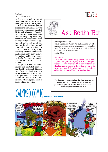$H_0^2AH_1^2$  15

to have a broad range of developed skills, not only in mining but also in other aspects."

It is always interesting to get suggestions from someone who has followed the development of PE for such a long time. Sabatical thinks participants need more tools to adequately make bug reports or file complaints. One of his ideas is for MindArk to sell logbook editions like mining logging, hunting logging and crafting logging. "This logbook could record everything, especially financial transactions made with a credit card," he says. "If you just want to play you can do that for free, but if you want to track all your actions, buy an edition."

It's great to have so many participants like Sabatical in PE that stand by us through thick and thin. Sabatical also invites any fellow participants to contact him with questions. Just use the PE community mail tool. See you next time when we profile another hardworking Calypsian!



## *Ask Bertha 'Bot*

Greetings Bertha Bot,

I have a problem. When I'm out hunting my rifle seams to jam from time to time. As all good hunters I try to have my weapon in top trim, but it still jams. What can I do to prevent this? Mortar Xtes

#### Dear Mortar,

I have not heard about this problem before, but I suspect that you are trying to fire before your weapon has fully reloaded. After each shot there is a reload interval indicated at the bottom of your HUD – a yellow bar. Only when this bar has is fully replenished is it possible to fire another shot.

**Whether you're an established colonist or you've just arrived, and you've got something on your mind, just ask Bertha 'Bot. Write to her at: fanzine@project-entropia.com**

# CALYPSO COMIC **Fredrik Andersson**

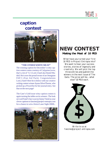

## **caption contest**



#### **"THE OTHER WHITE MEAT"**

The winning caption for December's witty caption contest comes courtesy of Calypsian (wow, that's a lot of 'Cs') Lord\_Fanel aka Daniel Madrid. He is now the proud owner of an Omegatan FAP-5 (Fast Aid Pack). Congratulations Lord\_Fanel! Here he is below with our creative writing contest winner Ayana SilverThorne, who picked up a Powerfist for her journal entry. See that on the next page!

The Gate's Gold issue witty caption contest is again turning the tables on its winners. The look on Lord Fanel's face was too funny! Send us your clever captions to fanzine@project-entropia.com for a chance to win a Seizzt Laser Sight 2000L.



## **NEW CONTEST**

### **Making the Most of 10 PED**

What have you turned your first 10 PED in Project Entropia into? We want to hear your success stories, stories of ingenuity and creativity. We will pick the top three entries and publish the winners in the next issue of The Gate. The prize will be… what else? 10 PED each.



Write to us at fanzine@project-entropia.com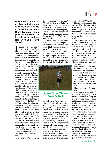## $IHH \hat{A}$  $I$  17

**December's creative writing contest winner is Ayana SilverThorne with her journal entry** *Crash Landing***. Thank you to all those who sent in their stories and poems. It was a tough choice!**

 $\prod_{\text{the}}$  guess you could say it started with a malfunc tion, or at least that's what the driver kept repeating as we broke the stratosphere of the planet at an alarming rate. Crappy holographic pilots. He fizzled and beeped like some

sort of monitor on the fritz, but honestly the rest is a blur. I must have hit my head with all the turbulence. When I woke up, well, that's where the real story begins I guess. The wreckage was nothing but pieces of metal stuck into the side of a mountain. I had been one of the first to wake up from my sleeping pod. Always been a light sleeper. I knew some-

thing was wrong by the blue sparks shooting across the room, so I headed up to the cockpit. That's when the pilot locked the door behind me. I still remember the other passengers banging on it. Maybe they would have lived too if they had been where I was. They're all dead now. The power cells had melted in the fire the impact created. Only the protective lining of the cockpit had saved me. It was the smoke coming through the broken glass of the front window that woke me. God, my head felt like that one time my old foster father was drinking too much and smacked me one.

"Welcome to Calypso…we

hope you've enjoyed your trip." The pilot bent over to shake my hand as I coughed and pushed the stupid hologram away and half fell out of the emergency cockpit hatch. He kept smiling at me, like he had done a good job or something. Yeah, whatever buddy.

Earth had never felt like home to me. Not where I belonged. I guess that's why I signed up on Project Entropia and decided to go to Calypso as a colonist. No family, no real friends. I checked my pockets realizing my ugly orange jumpsuit was ripped and all the supplies I had brought with me were in with the rest of the dead colonists,



#### **Ayana SilverThorne Ready for Battle**

sealed away for a thousand years til the radiation went down — give or take one hundred years anyway. So now I'm creditless. Lovely. What a great way to start a life on a new planet. I reached in my back pocket remembering the map they gave each of us. Good thing I didn't put it in with my cosmetics. With some scouting around I figured out my general location and headed towards the nearest location on the map. I'd call it a city, but it wasn't really even that when I arrived. I found some terminals, and the first living human being I'd seen on Calypso.

Hunter was his name. He was darkly skinned with dirty brown hair wearing a green jumpsuit and a rusted hunk of armor. I kind of wondered if he looked any better clean, but thought it better not to ask.

"Did you land near here?" he asked, another man walking up next to us and doing hip thrusts in my direction. I started wondering if they were low on female colonists or if this was some weird sort of communication that had evolved here. I tried to ignore him and focused on Hunter.

"If landing is what you'd call it, then yeah."

"Well, Atlantis is due west from here, its pretty safe. No monsters or anything." 'Monsters' being the key word. I'd heard about the alien animals of the planet, but I…well…I kind of slept through that part of the lecture. I looked towards the west.

"Thanks, I guess I'll start there."

"See ya around then, well, if you survive anyway." He waved and ran off leaving the hip thrusting maniac still making goo-goo eyes at me. I checked my map and headed west towards Atlantis. The maniac seemed disappointed, but luckily for me didn't follow. Then again, maybe it wasn't so lucky; I probably could have used the help.

Half way to Atlantis I heard a rustle behind a bush. I started running as fast as I could but I had one of the native animals after me. I have no idea what I did to piss it off, but it followed me over mountains and through rivers. It hit me afew times, just afew gashes to the back of my legs,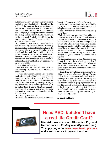but somehow I kept just a step in front of it and made it to the Atlantis border. I could see the walls and the giant satellite dishes pointed up into the air. I was almost safe until a shot rang into the air and I fell into the dust at the front gate. I coughed, blowing a little dust over a boot. I looked up and saw a man standing there with a rifle in his hand. A bit of smoke lifted from the muzzle into the breeze. He gave me his hand and helped me to my feet.

"You should be more careful, those little buggers can take a leg off if you let them." He hardly gave me a glance. I looked back behind me at the dead…eh…whatever it was. He walked over to it and pulled a tooth from it, sticking it in his pocket. He looked back at me. "Its sentimental." I nodded. "So what's a chic like you doing out here anyway. You don't have a gun, or armor…"

he looked me over and I pulled my ripped sleeve up my arm a little.

"I'm ok. I just got here is all."

"I see." He remarked, "Well you better get a gun or something." And he walked off without another word.

I wandered through Atlantis a bit. Seems a mining town mostly. People selling and buying ingots, to make things I'm not even skilled enough to figure out how to make, must less have the credits for. I looked on my map again, largest city Hadeshiem. Huge according to the map. A bit farther than it was to Atlantis, I figured I could make it. A man dressed in only the pants section of his space jumper stopped me at the Atlantis gate.

"You seen any SoF around?"

"A what? I wouldn't know what it is if I saw it

honestly." I responded. He looked uneasy. "It's a big group of people all armored and holding big weapons." I heard briefly of mobs, and thought maybe it was one of those.

"Nope, I think I would have remembered seeing one of those."

"Yeah, ok, thanks for your time." And off he ran. Everyone seems in such a hurry. I took off north towards Hadesheim. I bumped into a few more native animals on the way, but falling down a cavern into a fast moving river seems to lose them pretty quick. I tried to grab a branch off one of the trees I passed. I mean, a club is at least some sort of a weapon to fend off these beasts, but the wood was too rubbery and when I test swinged it, it just curved around and hit me in my side.

I'm finishing this log now, sunset is coming, but I wanted to write down what's happened so I don't forget. I'm sure someday I'll look back on this and say 'hey what a newbie I was', but then again, maybe these will be my last words in another few days.

Hadesheim is over the next ridge, and I try to think about what my hopes are. Why did I come to this planet? Having no skills and basically nothing else to offer. I guess all I have is my will to survive, and I guess it's not too bad for a bad ass chic like myself to go up against something like this. As I look to Hadesheim, I can see a tower in the distance, and I really have to think about what brought me here. Maybe its my secret hopes of finding a family, and maybe, …just maybe, finding a home.

**Ayana SilverThorne**



## **Need PED, but don't have a real life Credit Card?**

**MindArk now offers an Alternative Payment Method called a Pre-Payment (Open Account). To apply, log onto www.project-entropia.com under webshop - alt. payment method.**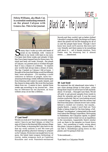## THEGATE<sub>19</sub>

**Felicia Williams, aka Black Cat, is a scientist conducting research on the planet Calypso with Genova Inc. This is her journal.**

**S** o many days I wake up with cold beads of sweat on my forehead, with visions of them in my mind, with tears in my eyes.<br>I've been here three weeks and already it feels **To many days I wake up with cold beads of**  sweat on my forehead, with visions of them in my mind, with tears in my eyes. like I have been trapped here for three years. My mind and body are weak. Humph…the planet of Calypso, my parents and co-workers thought that it was a chance of a lifetime. To explore new worlds had always been a dream of mine. The day I landed on Calypso I felt at home. I thought at the time that things would be different here, more adventure – I'm traveling a world unknown to billions of people, more fun – amazing technology, totally different landscapes from freezing cold waters to sandy islands, and the chance to sleep safely. But even this has been taken from me - it seems to have started three weeks ago according to my journal but… time has no relevance for me anymore, an hour withers away at me like a lifetime…



#### **17 Last Seed\***

Would you look at it? I look like a mouldy orange carrot. I have to say that Calypso, or what I've seen of it here in the descreet little mining village of Twin Peaks, is stunning.But I also have to say that my work uniform is not! We were put through gruelling physical training to prepare us for Calypso. Everyone was taught how to use guns, the latest laser-weapon technology of course, melee weapons such as Castorian Knuckles and even Nanotech-enchanced

Black Cat - The Journal

Swords and they couldn't get us better clothes! I shouldn't complain really, the things we'll learn about the planet will be life-changing for all of us and the people back home. Though I don't know how much we'll uncover, this town isn't very friendly and there seems to be something odd about it…. call it female intuition. Twin Peaks may be stunning but it almost seems……..abandoned.



#### **18 Last Seed**

We explored the old abandoned mine today. I saw some strange things in that place…some things that I hope I'll never have to tell anybody about. Or at least…I thought I saw them. We set off early to get ground samples from inside to check for minerals and such. It was the usual routine conducted. But as I was looking around I noticed things. I realized that the miners had fled from that place; I almost swore I saw a body behind a misted out window, but maybe... maybe there's…I guess I won't find out. Twin Peaks is being closed for the time being, a fullfledged "investigation" is being held in the small town about the Mining Corporation. We're going to Hadesheim, the Calypsian capital, to gather our resources and to head out on an expedition to the mountains. Apparently there's similar rock up there to the samples we found down here…..but something is really wrong about this place. Calypso is getting…almost colder…I can feel it. Something's going down on this planet, and I'm going to find out.

To be continued.....

\*Last Seed is a Calypsian Month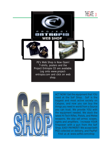







PE's Web Shop is Now Open! T-shirts, posters and the Project Entropia CD are available. Log onto www.projectentropia.com and click on web shop.



ACT NOW! Get the equipment that YOU need at the SoF Shop. SoF is the biggest and most active society on Calypso, and now you can buy the things you need in-world from a Source you can trust. We provide YOU with the equipment needed. We stock the latest Hi-Tech Rifles, Pistols, and Melee weapons. We also sell armor, scopes, sights and amplifiers. Increase YOUR firepower with a gun from the SoF Shop. EASY PAYMENT! We accept both PED collected on delivery, and PayPal! Find us at www.sofltd.com/shop